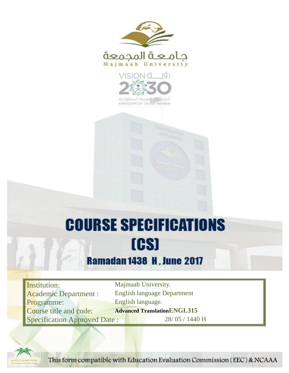



KINGDOM OF SAUDI ARABIA

# **COURSE SPECIFICATIONS** [CS]

# **Ramadan 1438 H, June 2017**

Institution: Majmaah University. Programme: English language. Specification Approved Date : 28/ 05 / 1440 H

Academic Department : English language Department **Course title and code: Advanced Translation ENGL315** 



This form compatible with Education Evaluation Commission (EEC) & NCAAA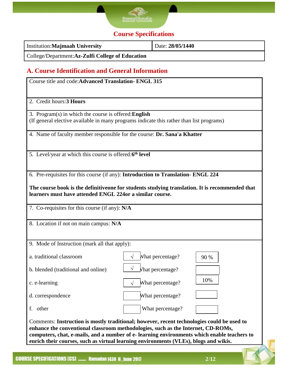

## **Course Specifications**

| <b>Institution:Majmaah University</b>            | Date: 28/05/1440 |
|--------------------------------------------------|------------------|
| College/Department:Az-Zulfi College of Education |                  |

### **A. Course Identification and General Information**

| 2. Credit hours: 3 Hours                                            |                                                                                                 |  |
|---------------------------------------------------------------------|-------------------------------------------------------------------------------------------------|--|
| 3. Program(s) in which the course is offered: English               | (If general elective available in many programs indicate this rather than list programs)        |  |
|                                                                     | 4. Name of faculty member responsible for the course: Dr. Sana'a Khatter                        |  |
| 5. Level/year at which this course is offered:6 <sup>th</sup> level |                                                                                                 |  |
|                                                                     | 6. Pre-requisites for this course (if any): Introduction to Translation-ENGL 224                |  |
| learners must have attended ENGL 224or a similar course.            | The course book is the definitive one for students studying translation. It is recommended that |  |
|                                                                     |                                                                                                 |  |
| 7. Co-requisites for this course (if any): N/A                      |                                                                                                 |  |
| 8. Location if not on main campus: N/A                              |                                                                                                 |  |
| 9. Mode of Instruction (mark all that apply):                       |                                                                                                 |  |
| a. traditional classroom                                            | What percentage?<br>$\sqrt{ }$<br>90 %                                                          |  |
| b. blended (traditional and online)                                 | Vhat percentage?                                                                                |  |
| c. e-learning                                                       | 10%<br>What percentage?                                                                         |  |
| d. correspondence                                                   | What percentage?                                                                                |  |
| f. other                                                            | What percentage?                                                                                |  |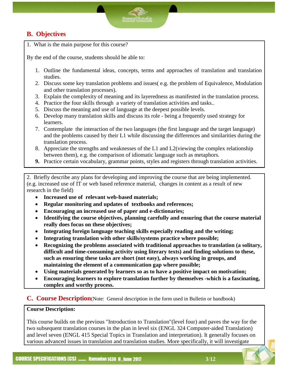#### **B. Objectives**

1. What is the main purpose for this course?

By the end of the course, students should be able to:

- 1. Outline the fundamental ideas, concepts, terms and approaches of translation and translation studies.
- 2. Discuss some key translation problems and issues( e.g. the problem of Equivalence, Modulation and other translation processes).
- 3. Explain the complexity of meaning and its layeredness as manifested in the translation process.
- 4. Practice the four skills through a variety of translation activities and tasks..
- 5. Discuss the meaning and use of language at the deepest possible levels.
- 6. Develop many translation skills and discuss its role being a frequently used strategy for learners.
- 7. Contemplate the interaction of the two languages (the first language and the target language) and the problems caused by their L1 while discussing the differences and similarities during the translation process.
- 8. Appreciate the strengths and weaknesses of the L1 and L2(viewing the complex relationship between them), e.g. the comparison of idiomatic language such as metaphors.
- **9.** Practice certain vocabulary, grammar points, styles and registers through translation activities.

2. Briefly describe any plans for developing and improving the course that are being implemented. (e.g. increased use of IT or web based reference material, changes in content as a result of new research in the field)

- **Increased use of relevant web-based materials;**
- **Regular monitoring and updates of textbooks and references;**
- **Encouraging an increased use of paper and e-dictionaries;**
- **Identifying the course objectives, planning carefully and ensuring that the course material really does focus on these objectives;**
- **Integrating foreign language teaching skills especially reading and the writing;**
- **Integrating translation with other skills/systems practice where possible;**
- **Recognizing the problems associated with traditional approaches to translation (a solitary, difficult and time-consuming activity using literary texts) and finding solutions to these, such as ensuring these tasks are short (not easy), always working in groups, and maintaining the element of a communication gap where possible;**
- **Using materials generated by learners so as to have a positive impact on motivation;**
- **Encouraging learners to explore translation further by themselves -which is a fascinating, complex and worthy process.**

#### **C. Course Description**(Note: General description in the form used in Bulletin or handbook)

#### **Course Description:**

This course builds on the previous "Introduction to Translation"(level four) and paves the way for the two subsequent translation courses in the plan in level six (ENGL 324 Computer-aided Translation) and level seven (ENGL 415 Special Topics in Translation and interpretation). It generally focuses on various advanced issues in translation and translation studies. More specifically, it will investigate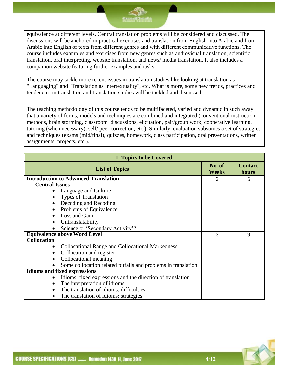equivalence at different levels. Central translation problems will be considered and discussed. The discussions will be anchored in practical exercises and translation from English into Arabic and from Arabic into English of texts from different genres and with different communicative functions. The course includes examples and exercises from new genres such as audiovisual translation, scientific translation, oral interpreting, website translation, and news/ media translation. It also includes a companion website featuring further examples and tasks.

The course may tackle more recent issues in translation studies like looking at translation as "Languaging" and "Translation as Intertextuality", etc. What is more, some new trends, practices and tendencies in translation and translation studies will be tackled and discussed.

The teaching methodology of this course tends to be multifaceted, varied and dynamic in such away that a variety of forms, models and techniques are combined and integrated (conventional instruction methods, brain storming, classroom discussions, elicitation, pair/group work, cooperative learning, tutoring (when necessary), self/ peer correction, etc.). Similarly, evaluation subsumes a set of strategies and techniques (exams (mid/final), quizzes, homework, class participation, oral presentations, written assignments, projects, etc.).

|                       | 1. Topics to be Covered                                       |                        |                         |  |
|-----------------------|---------------------------------------------------------------|------------------------|-------------------------|--|
|                       | <b>List of Topics</b>                                         | No. of<br><b>Weeks</b> | <b>Contact</b><br>hours |  |
|                       | <b>Introduction to Advanced Translation</b>                   | $\overline{2}$         | 6                       |  |
| <b>Central Issues</b> |                                                               |                        |                         |  |
|                       | Language and Culture                                          |                        |                         |  |
|                       | Types of Translation                                          |                        |                         |  |
|                       | Decoding and Recoding                                         |                        |                         |  |
|                       | Problems of Equivalence                                       |                        |                         |  |
| $\bullet$             | Loss and Gain                                                 |                        |                         |  |
|                       | Untranslatability                                             |                        |                         |  |
|                       | Science or 'Secondary Activity'?                              |                        |                         |  |
|                       | <b>Equivalence above Word Level</b>                           | 3                      | 9                       |  |
| <b>Collocation</b>    |                                                               |                        |                         |  |
|                       | Collocational Range and Collocational Markedness              |                        |                         |  |
|                       | Collocation and register                                      |                        |                         |  |
| $\bullet$             | Collocational meaning                                         |                        |                         |  |
|                       | Some collocation related pitfalls and problems in translation |                        |                         |  |
|                       | <b>Idioms and fixed expressions</b>                           |                        |                         |  |
|                       | Idioms, fixed expressions and the direction of translation    |                        |                         |  |
| $\bullet$             | The interpretation of idioms                                  |                        |                         |  |
|                       | The translation of idioms: difficulties                       |                        |                         |  |
|                       | The translation of idioms: strategies                         |                        |                         |  |

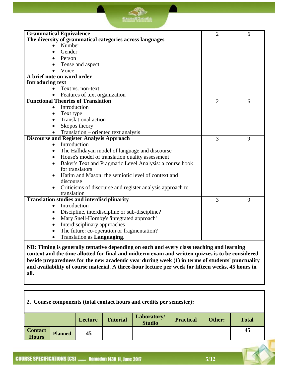| <b>Grammatical Equivalence</b>                                         | $\overline{2}$ | 6 |
|------------------------------------------------------------------------|----------------|---|
| The diversity of grammatical categories across languages               |                |   |
| Number                                                                 |                |   |
| Gender<br>$\bullet$                                                    |                |   |
| Person                                                                 |                |   |
| Tense and aspect                                                       |                |   |
| Voice                                                                  |                |   |
| A brief note on word order                                             |                |   |
| <b>Introducing text</b>                                                |                |   |
| Text vs. non-text                                                      |                |   |
| Features of text organization                                          |                |   |
| <b>Functional Theories of Translation</b>                              | $\overline{2}$ | 6 |
| Introduction                                                           |                |   |
| Text type<br>$\bullet$                                                 |                |   |
| <b>Translational action</b>                                            |                |   |
| Skopos theory<br>$\bullet$                                             |                |   |
| Translation – oriented text analysis                                   |                |   |
| <b>Discourse and Register Analysis Approach</b>                        | 3              | 9 |
| Introduction<br>$\bullet$                                              |                |   |
| The Hallidayan model of language and discourse<br>$\bullet$            |                |   |
| House's model of translation quality assessment<br>٠                   |                |   |
| Baker's Text and Pragmatic Level Analysis: a course book<br>$\bullet$  |                |   |
| for translators                                                        |                |   |
| Hatim and Mason: the semiotic level of context and<br>$\bullet$        |                |   |
| discourse                                                              |                |   |
| Criticisms of discourse and register analysis approach to<br>$\bullet$ |                |   |
| translation                                                            |                |   |
| <b>Translation studies and interdisciplinarity</b>                     | 3              | 9 |
| Introduction<br>$\bullet$                                              |                |   |
| Discipline, interdiscipline or sub-discipline?                         |                |   |
| Mary Snell-Hornby's 'integrated approach'<br>٠                         |                |   |
| Interdisciplinary approaches<br>$\bullet$                              |                |   |
| The future: co-operation or fragmentation?                             |                |   |
| Translation as <b>Languaging</b> .<br>$\bullet$                        |                |   |

**NB: Timing is generally tentative depending on each and every class teaching and learning context and the time allotted for final and midterm exam and written quizzes is to be considered beside preparedness for the new academic year during week (1) in terms of students' punctuality and availability of course material. A three-hour lecture per week for fifteen weeks, 45 hours in all.**

| 2. Course components (total contact hours and credits per semester): |                |         |                 |                              |                  |        |              |
|----------------------------------------------------------------------|----------------|---------|-----------------|------------------------------|------------------|--------|--------------|
|                                                                      |                | Lecture | <b>Tutorial</b> | Laboratory/<br><b>Studio</b> | <b>Practical</b> | Other: | <b>Total</b> |
| <b>Contact</b><br><b>Hours</b>                                       | <b>Planned</b> | 45      |                 |                              |                  |        | 45           |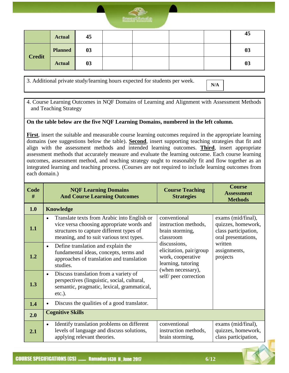

|               | <b>Actual</b>  | 45 |  |  | 45             |
|---------------|----------------|----|--|--|----------------|
| <b>Credit</b> | <b>Planned</b> | 03 |  |  | 03             |
|               | <b>Actual</b>  | 03 |  |  | 0 <sub>3</sub> |

3. Additional private study/learning hours expected for students per week.

**N/A**

4. Course Learning Outcomes in NQF Domains of Learning and Alignment with Assessment Methods and Teaching Strategy

#### **On the table below are the five NQF Learning Domains, numbered in the left column.**

**First**, insert the suitable and measurable course learning outcomes required in the appropriate learning domains (see suggestions below the table). **Second**, insert supporting teaching strategies that fit and align with the assessment methods and intended learning outcomes. **Third**, insert appropriate assessment methods that accurately measure and evaluate the learning outcome. Each course learning outcomes, assessment method, and teaching strategy ought to reasonably fit and flow together as an integrated learning and teaching process. (Courses are not required to include learning outcomes from each domain.)

| Code<br># | <b>NQF Learning Domains</b><br><b>And Course Learning Outcomes</b>                                                                                                                            | <b>Course Teaching</b><br><b>Strategies</b>                                                             | <b>Course</b><br><b>Assessment</b><br><b>Methods</b>                                    |  |
|-----------|-----------------------------------------------------------------------------------------------------------------------------------------------------------------------------------------------|---------------------------------------------------------------------------------------------------------|-----------------------------------------------------------------------------------------|--|
| 1.0       | <b>Knowledge</b>                                                                                                                                                                              |                                                                                                         |                                                                                         |  |
| 1.1       | Translate texts from Arabic into English or<br>$\bullet$<br>vice versa choosing appropriate words and<br>structures to capture different types of<br>meaning, and to suit various text types. | conventional<br>instruction methods,<br>brain storming,<br>classroom                                    | exams (mid/final),<br>quizzes, homework,<br>class participation,<br>oral presentations, |  |
| 1.2       | Define translation and explain the<br>$\bullet$<br>fundamental ideas, concepts, terms and<br>approaches of translation and translation<br>studies.                                            | discussions,<br>elicitation, pair/group<br>work, cooperative<br>learning, tutoring<br>(when necessary), | written<br>assignments,<br>projects                                                     |  |
| 1.3       | Discuss translation from a variety of<br>$\bullet$<br>perspectives (linguistic, social, cultural,<br>semantic, pragmatic, lexical, grammatical,<br>$etc.$ ).                                  | self/peer correction                                                                                    |                                                                                         |  |
| 1.4       | Discuss the qualities of a good translator.                                                                                                                                                   |                                                                                                         |                                                                                         |  |
| 2.0       | <b>Cognitive Skills</b>                                                                                                                                                                       |                                                                                                         |                                                                                         |  |
| 2.1       | Identify translation problems on different<br>$\bullet$<br>levels of language and discuss solutions,<br>applying relevant theories.                                                           | conventional<br>instruction methods,<br>brain storming,                                                 | exams (mid/final),<br>quizzes, homework,<br>class participation,                        |  |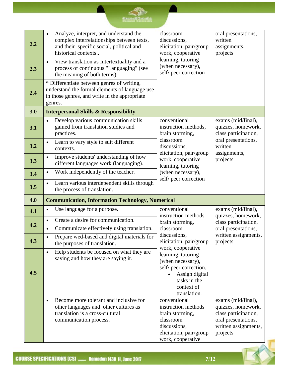| 2.2 | Analyze, interpret, and understand the<br>complex interrelationships between texts,<br>and their specific social, political and<br>historical contexts    | classroom<br>discussions,<br>elicitation, pair/group<br>work, cooperative                                                           | oral presentations,<br>written<br>assignments,<br>projects                                                                  |
|-----|-----------------------------------------------------------------------------------------------------------------------------------------------------------|-------------------------------------------------------------------------------------------------------------------------------------|-----------------------------------------------------------------------------------------------------------------------------|
| 2.3 | View translation as Intertextuality and a<br>$\bullet$<br>process of continuous "Languaging" (see<br>the meaning of both terms).                          | learning, tutoring<br>(when necessary),<br>self/peer correction                                                                     |                                                                                                                             |
| 2.4 | * Differentiate between genres of writing,<br>understand the formal elements of language use<br>in those genres, and write in the appropriate<br>genres.  |                                                                                                                                     |                                                                                                                             |
| 3.0 | <b>Interpersonal Skills &amp; Responsibility</b>                                                                                                          |                                                                                                                                     |                                                                                                                             |
| 3.1 | Develop various communication skills<br>$\bullet$<br>gained from translation studies and<br>practices.                                                    | conventional<br>instruction methods,<br>brain storming,                                                                             | exams (mid/final),<br>quizzes, homework,<br>class participation,                                                            |
| 3.2 | Learn to vary style to suit different<br>$\bullet$<br>contexts.                                                                                           | classroom<br>discussions,<br>elicitation, pair/group                                                                                | oral presentations,<br>written<br>assignments,                                                                              |
| 3.3 | Improve students' understanding of how<br>$\bullet$<br>different languages work (languaging).                                                             | work, cooperative<br>learning, tutoring                                                                                             | projects                                                                                                                    |
| 3.4 | Work independently of the teacher.<br>$\bullet$                                                                                                           | (when necessary),<br>self/ peer correction                                                                                          |                                                                                                                             |
| 3.5 | Learn various interdependent skills through<br>$\bullet$<br>the process of translation.                                                                   |                                                                                                                                     |                                                                                                                             |
| 4.0 | <b>Communication, Information Technology, Numerical</b>                                                                                                   |                                                                                                                                     |                                                                                                                             |
| 4.1 | Use language for a purpose.                                                                                                                               | conventional<br>instruction methods                                                                                                 | exams (mid/final),<br>quizzes, homework,                                                                                    |
| 4.2 | Create a desire for communication.<br>$\bullet$<br>Communicate effectively using translation.<br>$\bullet$                                                | brain storming,<br>classroom                                                                                                        | class participation,<br>oral presentations,                                                                                 |
| 4.3 | Prepare wed-based and digital materials for<br>the purposes of translation.                                                                               | discussions,<br>elicitation, pair/group<br>work, cooperative                                                                        | written assignments,<br>projects                                                                                            |
| 4.5 | Help students be focused on what they are<br>$\bullet$<br>saying and how they are saying it.                                                              | learning, tutoring<br>(when necessary),<br>self/ peer correction.<br>Assign digital<br>tasks in the<br>context of<br>translation.   |                                                                                                                             |
|     | Become more tolerant and inclusive for<br>$\bullet$<br>other languages and other cultures as<br>translation is a cross-cultural<br>communication process. | conventional<br>instruction methods<br>brain storming,<br>classroom<br>discussions,<br>elicitation, pair/group<br>work, cooperative | exams (mid/final),<br>quizzes, homework,<br>class participation,<br>oral presentations,<br>written assignments,<br>projects |

 $\mathbb{R}$ 

**Consultant**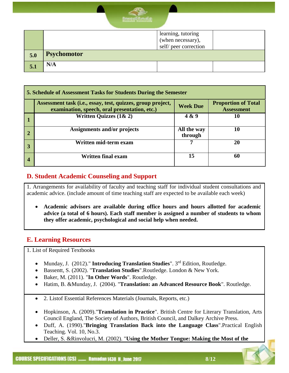

|     |                    | learning, tutoring    |  |  |
|-----|--------------------|-----------------------|--|--|
|     |                    | (when necessary),     |  |  |
|     |                    | self/ peer correction |  |  |
| 5.0 | <b>Psychomotor</b> |                       |  |  |
| 5.1 | N/A                |                       |  |  |

|              | <b>5. Schedule of Assessment Tasks for Students During the Semester</b>                                      |                        |                                                 |  |  |
|--------------|--------------------------------------------------------------------------------------------------------------|------------------------|-------------------------------------------------|--|--|
|              | Assessment task (i.e., essay, test, quizzes, group project,<br>examination, speech, oral presentation, etc.) | <b>Week Due</b>        | <b>Proportion of Total</b><br><b>Assessment</b> |  |  |
|              | Written Quizzes $(1 & 2)$                                                                                    | 4 & 9                  | 10                                              |  |  |
| $\mathbf{2}$ | <b>Assignments and/or projects</b>                                                                           | All the way<br>through | 10                                              |  |  |
|              | Written mid-term exam                                                                                        |                        | 20                                              |  |  |
|              | Written final exam                                                                                           | 15                     | 60                                              |  |  |

#### **D. Student Academic Counseling and Support**

1. Arrangements for availability of faculty and teaching staff for individual student consultations and academic advice. (include amount of time teaching staff are expected to be available each week)

 **Academic advisors are available during office hours and hours allotted for academic advice (a total of 6 hours). Each staff member is assigned a number of students to whom they offer academic, psychological and social help when needed.**

#### **E. Learning Resources**

1. List of Required Textbooks

- Munday, J. (2012)." **Introducing Translation Studies**". 3<sup>rd</sup> Edition, Routledge.
- Bassentt, S. (2002). "**Translation Studies**".Routledge. London & New York.
- Baker, M. (2011). "**In Other Words**". Routledge.
- Hatim, B. &Munday, J. (2004). "**Translation: an Advanced Resource Book**". Routledge.
- 2. Listof Essential References Materials (Journals, Reports, etc.)
- Hopkinson, A. (2009)."**Translation in Practice**". British Centre for Literary Translation, Arts Council England, The Society of Authors, British Council, and Dalkey Archive Press.
- Duff, A. (1990)."**Bringing Translation Back into the Language Class**".Practical English Teaching. Vol. 10, No.3.
- Deller, S. &Rinvolucri, M. (2002). "**Using the Mother Tongue: Making the Most of the**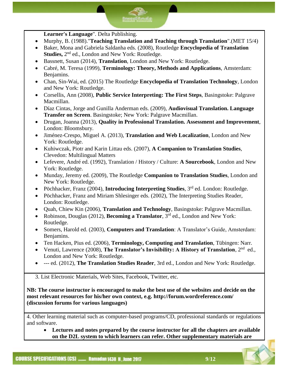**Learner's Language**". Delta Publishing.

- Murphy, B. (1988)."**Teaching Translation and Teaching through Translation**".(MET 15/4)
- Baker, Mona and Gabriela Saldanha eds. (2008), Routledge **Encyclopedia of Translation**  Studies, 2<sup>nd</sup> ed., London and New York: Routledge.
- Bassnett, Susan (2014), **Translation**, London and New York: Routledge.
- Cabré, M. Teresa (1999), **Terminology: Theory, Methods and Applications**, Amsterdam: Benjamins.
- Chan, Sin-Wai, ed. (2015) The Routledge **Encyclopedia of Translation Technology**, London and New York: Routledge.
- Corsellis, Ann (2008), **Public Service Interpreting: The First Steps**, Basingstoke: Palgrave Macmillan.
- Díaz Cintas, Jorge and Gunilla Anderman eds. (2009), **Audiovisual Translation. Language Transfer on Screen**. Basingstoke; New York: Palgrave Macmillan.
- Drugan, Joanna (2013), **Quality in Professional Translation. Assessment and Improvement**, London: Bloomsbury.
- Jiménez-Crespo, Miguel A. (2013), **Translation and Web Localization**, London and New York: Routledge.
- Kuhiwczak, Piotr and Karin Littau eds. (2007), **A Companion to Translation Studies**, Clevedon: Multilingual Matters
- Lefevere, André ed. (1992), Translation / History / Culture: **A Sourcebook**, London and New York: Routledge.
- Munday, Jeremy ed. (2009), The Routledge **Companion to Translation Studies**, London and New York: Routledge.
- Pöchhacker, Franz (2004), **Introducing Interpreting Studies**, 3<sup>rd</sup> ed. London: Routledge.
- Pöchhacker, Franz and Miriam Shlesinger eds. (2002), The Interpreting Studies Reader, London: Routledge.
- Quah, Chiew Kin (2006), **Translation and Technology**, Basingstoke: Palgrave Macmillan.
- Robinson, Douglas (2012), **Becoming a Translator**, 3rd ed., London and New York: Routledge.
- Somers, Harold ed. (2003), **Computers and Translation**: A Translator's Guide, Amsterdam: Benjamins.
- Ten Hacken, Pius ed. (2006), **Terminology, Computing and Translation**, Tübingen: Narr.
- Venuti, Lawrence (2008), **The Translator's Invisibility: A History of Translation**, 2<sup>nd</sup> ed., London and New York: Routledge.
- --- ed. (2012), **The Translation Studies Reader**, 3rd ed., London and New York: Routledge.

3. List Electronic Materials, Web Sites, Facebook, Twitter, etc.

**NB: The course instructor is encouraged to make the best use of the websites and decide on the most relevant resources for his/her own context, e.g. http://forum.wordreference.com/ (discussion forums for various languages)**

4. Other learning material such as computer-based programs/CD, professional standards or regulations and software.

 **Lectures and notes prepared by the course instructor for all the chapters are available on the D2L system to which learners can refer. Other supplementary materials are**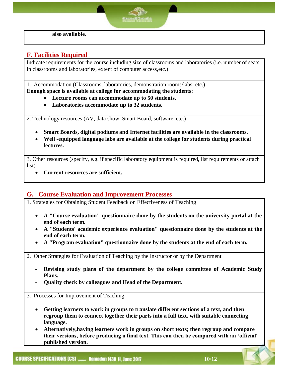**also available.** 

#### **F. Facilities Required**

Indicate requirements for the course including size of classrooms and laboratories (i.e. number of seats in classrooms and laboratories, extent of computer access,etc.)

1. Accommodation (Classrooms, laboratories, demonstration rooms/labs, etc.) **Enough space is available at college for accommodating the students**:

- **Lecture rooms can accommodate up to 50 students.**
- **Laboratories accommodate up to 32 students.**

2. Technology resources (AV, data show, Smart Board, software, etc.)

- **Smart Boards, digital podiums and Internet facilities are available in the classrooms.**
- **Well -equipped language labs are available at the college for students during practical lectures.**

3. Other resources (specify, e.g. if specific laboratory equipment is required, list requirements or attach list)

**Current resources are sufficient.** 

#### **G. Course Evaluation and Improvement Processes**

1. Strategies for Obtaining Student Feedback on Effectiveness of Teaching

- **A "Course evaluation" questionnaire done by the students on the university portal at the end of each term.**
- **A "Students' academic experience evaluation" questionnaire done by the students at the end of each term.**
- **A "Program evaluation" questionnaire done by the students at the end of each term.**

2. Other Strategies for Evaluation of Teaching by the Instructor or by the Department

- Revising study plans of the department by the college committee of Academic Study **Plans.**
- **Quality check by colleagues and Head of the Department.**

3. Processes for Improvement of Teaching

- **Getting learners to work in groups to translate different sections of a text, and then regroup them to connect together their parts into a full text, with suitable connecting language.**
- **Alternatively,having learners work in groups on short texts; then regroup and compare their versions, before producing a final text. This can then be compared with an 'official' published version.**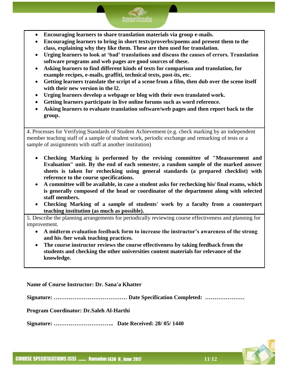- **Encouraging learners to share translation materials via group e-mails.**
- **Encouraging learners to bring in short texts/proverbs/poems and present them to the class, explaining why they like them. These are then used for translation.**
- **Urging learners to look at 'bad' translations and discuss the causes of errors. Translation software programs and web pages are good sources of these.**
- **Asking learners to find different kinds of texts for comparison and translation, for example recipes, e-mails, graffiti, technical texts, post-its, etc.**
- **Getting learners translate the script of a scene from a film, then dub over the scene itself with their new version in the l2.**
- **Urging learners develop a webpage or blog with their own translated work.**
- **Getting learners participate in live online forums such as word reference.**
- **Asking learners to evaluate translation software/web pages and then report back to the group.**

4. Processes for Verifying Standards of Student Achievement (e.g. check marking by an independent member teaching staff of a sample of student work, periodic exchange and remarking of tests or a sample of assignments with staff at another institution)

- **Checking Marking is performed by the revising committee of "Measurement and Evaluation" unit. By the end of each semester, a random sample of the marked answer sheets is taken for rechecking using general standards (a prepared checklist) with reference to the course specifications.**
- **A committee will be available, in case a student asks for rechecking his/ final exams, which is generally composed of the head or coordinator of the department along with selected staff members.**
- **Checking Marking of a sample of students' work by a faculty from a counterpart teaching institution (as much as possible).**

5. Describe the planning arrangements for periodically reviewing course effectiveness and planning for improvement.

- **A midterm evaluation feedback form to increase the instructor's awareness of the strong and his /her weak teaching practices.**
- **The course instructor reviews the course effectiveness by taking feedback from the students and checking the other universities content materials for relevance of the knowledge.**

**Name of Course Instructor: Dr. Sana'a Khatter**

**Signature: ………………………………… Date Specification Completed: …………………**

**Program Coordinator: Dr.Saleh Al-Harthi**

**Signature: ………………………….. Date Received: 28/ 05/ 1440**